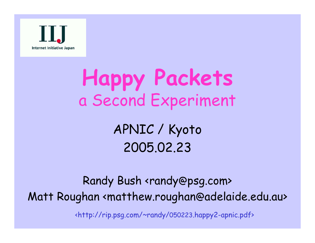

## **Happy Packets** a Second Experiment

APNIC / Kyoto 2005.02.23

Randy Bush <randy@psg.com> Matt Roughan <matthew.roughan @adelaide.edu.au> <http://rip.psg.com/~randy/050223.happy2-apnic.pdf>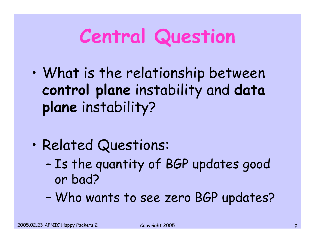# **Central Question**

- • What is the relationship between **control plane** instability and **data plane** instability?
- • Related Questions:
	- – Is the quantity of BGP updates good or bad?
	- –Who wants to see zero BGP updates?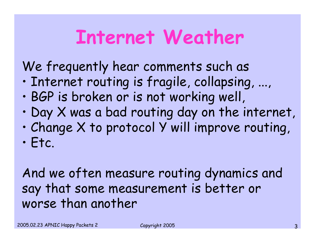### **Internet Weather**

We frequently hear comments such as

- •Internet routing is fragile, collapsing, ...,
- •BGP is broken or is not working well,
- •Day X was a bad routing day on the internet,
- •Change X to protocol Y will improve routing,
- •Etc.

And we often measure routing dynamics and say that some measurement is better or worse than another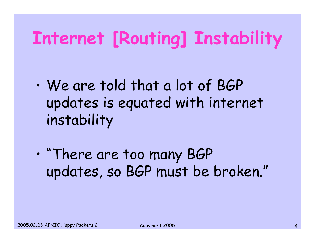### **Internet [Routing] Instability**

- • We are told that a lot of BGP updates is equated with internet instability
- • "There are too many BGP updates, so BGP must be broken."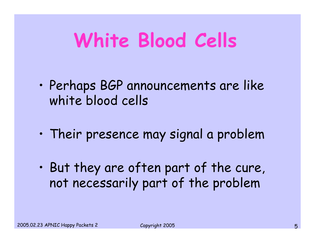# **White Blood Cells**

- $\bullet$  Perhaps BGP announcements are like white blood cells
- •Their presence may signal a problem
- • But they are often part of the cure, not necessarily part of the problem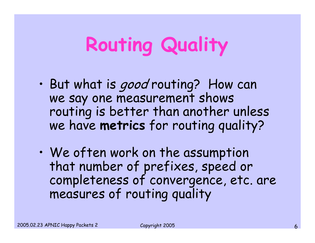# **Routing Quality**

- •But what is good routing? How can we say one measurement shows routing is better than another unless we have **metrics** for routing quality?
- $\bullet$ We often work on the assumption that number of prefixes, speed or completeness of convergence, etc. are measures of routing quality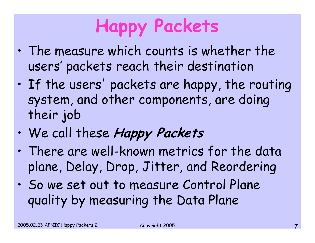## **Happy Packets**

- $\bullet$  The measure which counts is whether the users' packets reach their destination
- $\bullet$  If the users' packets are happy, the routing system, and other components, are doing their job
- •We call these **Happy Packets**
- $\bullet$  There are well-known metrics for the data plane, Delay, Drop, Jitter, and Reordering
- $\bullet$  So we set out to measure Control Plane quality by measuring the Data Plane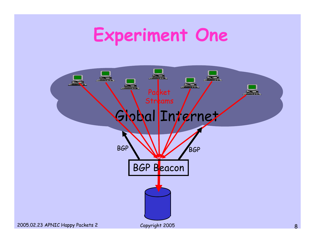#### **Experiment One**

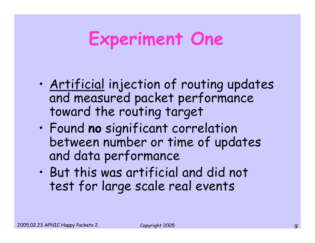### **Experiment One**

- $\bullet$  Artificial injection of routing updates and measured packet performance toward the routing target
- • Found **no** significant correlation between number or time of updates and data performance
- • But this was artificial and did not test for large scale real events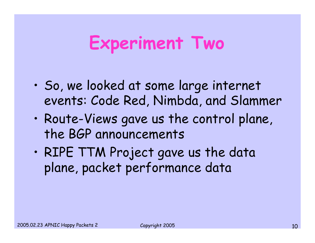#### **Experiment Two**

- $\bullet$  So, we looked at some large internet events: Code Red, Nimbda, and Slammer
- $\bullet$  Route-Views gave us the control plane, the BGP announcements
- $\bullet$  RIPE TTM Project gave us the data plane, packet performance data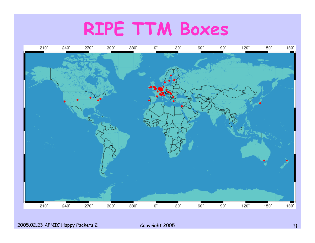#### **RIPE TTM Boxes**

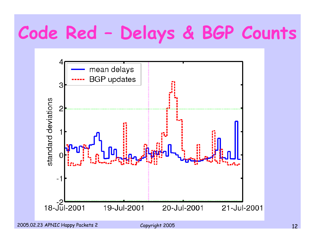## **Code Red – Delays & BGP Counts**

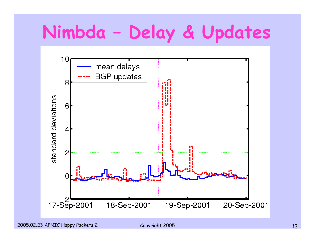### **Nimbda – Delay & Updates**

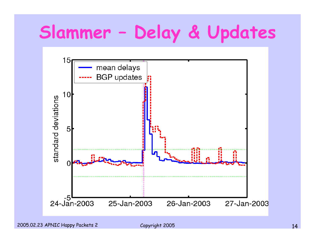## **Slammer – Delay & Updates**

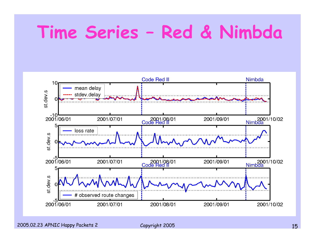#### **Time Series – Red & Nimbda**

![](_page_14_Figure_1.jpeg)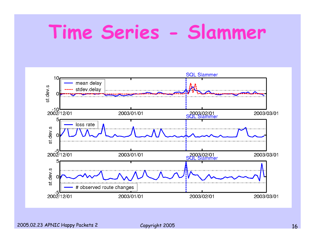### **Time Series - Slammer**

![](_page_15_Figure_1.jpeg)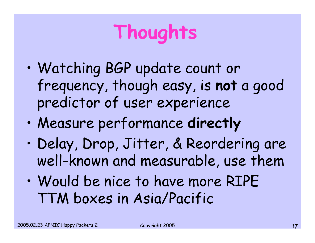# **Thoughts**

- • Watching BGP update count or frequency, though easy, is **not** a good predictor of user experience
- •Measure performance **directly**
- • Delay, Drop, Jitter, & Reordering are well-known and measurable, use them
- • Would be nice to have more RIPE TTM boxes in Asia/Pacific